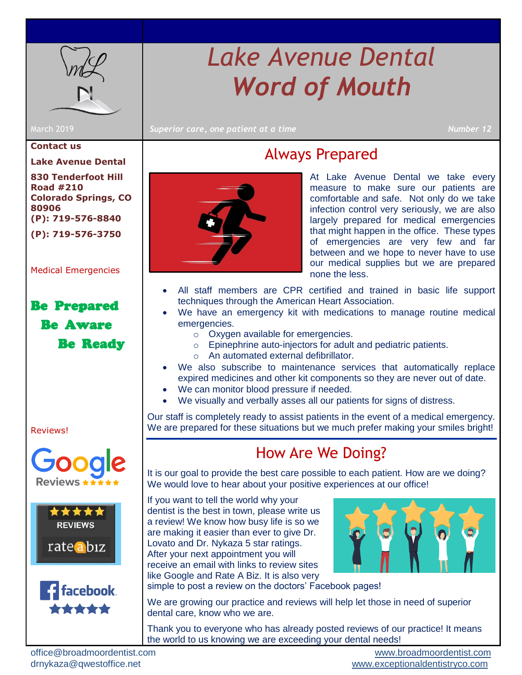

# *Lake Avenue Dental Word of Mouth*

March 2019 *Superior care, one patient at a time* **Number 12** 

#### **Contact us**

**Lake Avenue Dental**

**830 Tenderfoot Hill Road #210 Colorado Springs, CO 80906 (P): 719-576-8840 (P): 719-576-3750**

[Medical Emergencies](#page-0-0) 

### Be Prepared Be Aware Be Ready

[Reviews!](#page-0-1)







## Always Prepared

<span id="page-0-0"></span>

At Lake Avenue Dental we take every measure to make sure our patients are comfortable and safe. Not only do we take infection control very seriously, we are also largely prepared for medical emergencies that might happen in the office. These types of emergencies are very few and far between and we hope to never have to use our medical supplies but we are prepared none the less.

- All staff members are CPR certified and trained in basic life support techniques through the American Heart Association.
- We have an emergency kit with medications to manage routine medical emergencies.
	- o Oxygen available for emergencies.
	- o Epinephrine auto-injectors for adult and pediatric patients.
	- o An automated external defibrillator.
- We also subscribe to maintenance services that automatically replace expired medicines and other kit components so they are never out of date.
- We can monitor blood pressure if needed.
- We visually and verbally asses all our patients for signs of distress.

<span id="page-0-1"></span>Our staff is completely ready to assist patients in the event of a medical emergency. We are prepared for these situations but we much prefer making your smiles bright!

### How Are We Doing?

It is our goal to provide the best care possible to each patient. How are we doing? We would love to hear about your positive experiences at our office!

If you want to tell the world why your dentist is the best in town, please write us a review! We know how busy life is so we are making it easier than ever to give Dr. Lovato and Dr. Nykaza 5 star ratings. After your next appointment you will receive an email with links to review sites like Google and Rate A Biz. It is also very



simple to post a review on the doctors' Facebook pages!

We are growing our practice and reviews will help let those in need of superior dental care, know who we are.

Thank you to everyone who has already posted reviews of our practice! It means the world to us knowing we are exceeding your dental needs!

[office@broadmoordentist.com](mailto:office@broadmoordentist.com) [www.broadmoordentist.com](http://www.broadmoordentist.com/)

drnykaza@qwestoffice.net [www.exceptionaldentistryco.com](file:///C:/Users/alang/Downloads/www.exceptionaldentistryco.com)